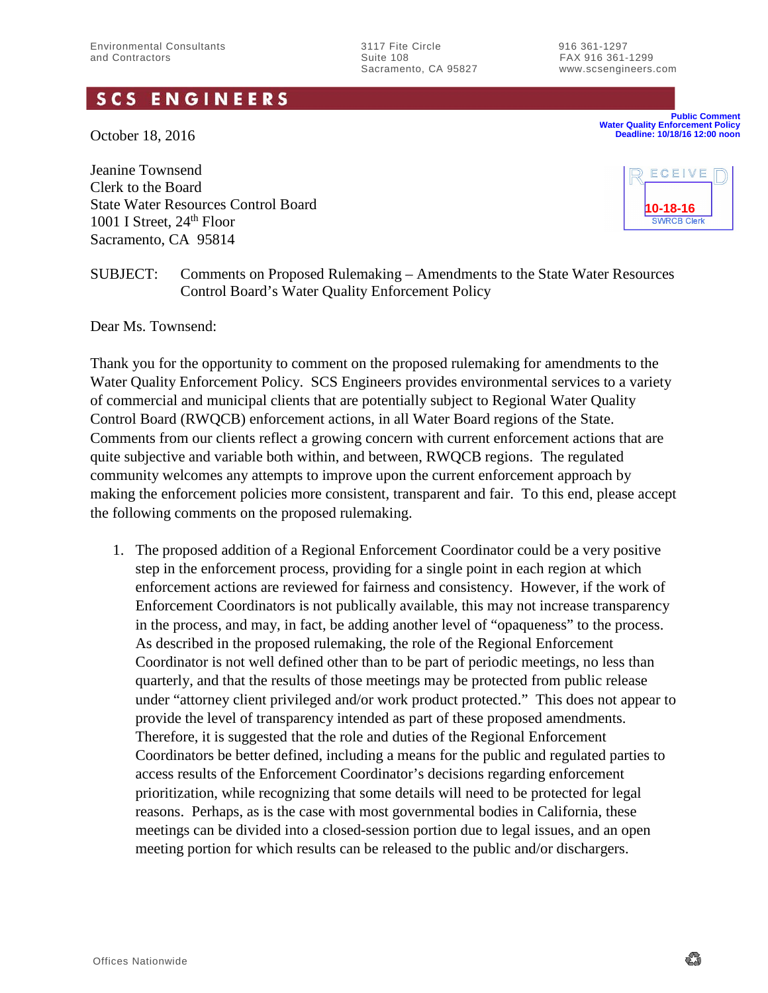Suite 108<br>Sacramento, CA 95827 www.scsengineers

www.scsengineers.com

## **SCS ENGINEERS**

October 18, 2016

Jeanine Townsend Clerk to the Board State Water Resources Control Board 1001 I Street,  $24<sup>th</sup>$  Floor Sacramento, CA 95814



**Water Quality Enforcement Policy Deadline: 10/18/16 12:00 noon**

**Public Comment**

SUBJECT: Comments on Proposed Rulemaking – Amendments to the State Water Resources Control Board's Water Quality Enforcement Policy

Dear Ms. Townsend:

Thank you for the opportunity to comment on the proposed rulemaking for amendments to the Water Quality Enforcement Policy. SCS Engineers provides environmental services to a variety of commercial and municipal clients that are potentially subject to Regional Water Quality Control Board (RWQCB) enforcement actions, in all Water Board regions of the State. Comments from our clients reflect a growing concern with current enforcement actions that are quite subjective and variable both within, and between, RWQCB regions. The regulated community welcomes any attempts to improve upon the current enforcement approach by making the enforcement policies more consistent, transparent and fair. To this end, please accept the following comments on the proposed rulemaking.

1. The proposed addition of a Regional Enforcement Coordinator could be a very positive step in the enforcement process, providing for a single point in each region at which enforcement actions are reviewed for fairness and consistency. However, if the work of Enforcement Coordinators is not publically available, this may not increase transparency in the process, and may, in fact, be adding another level of "opaqueness" to the process. As described in the proposed rulemaking, the role of the Regional Enforcement Coordinator is not well defined other than to be part of periodic meetings, no less than quarterly, and that the results of those meetings may be protected from public release under "attorney client privileged and/or work product protected." This does not appear to provide the level of transparency intended as part of these proposed amendments. Therefore, it is suggested that the role and duties of the Regional Enforcement Coordinators be better defined, including a means for the public and regulated parties to access results of the Enforcement Coordinator's decisions regarding enforcement prioritization, while recognizing that some details will need to be protected for legal reasons. Perhaps, as is the case with most governmental bodies in California, these meetings can be divided into a closed-session portion due to legal issues, and an open meeting portion for which results can be released to the public and/or dischargers.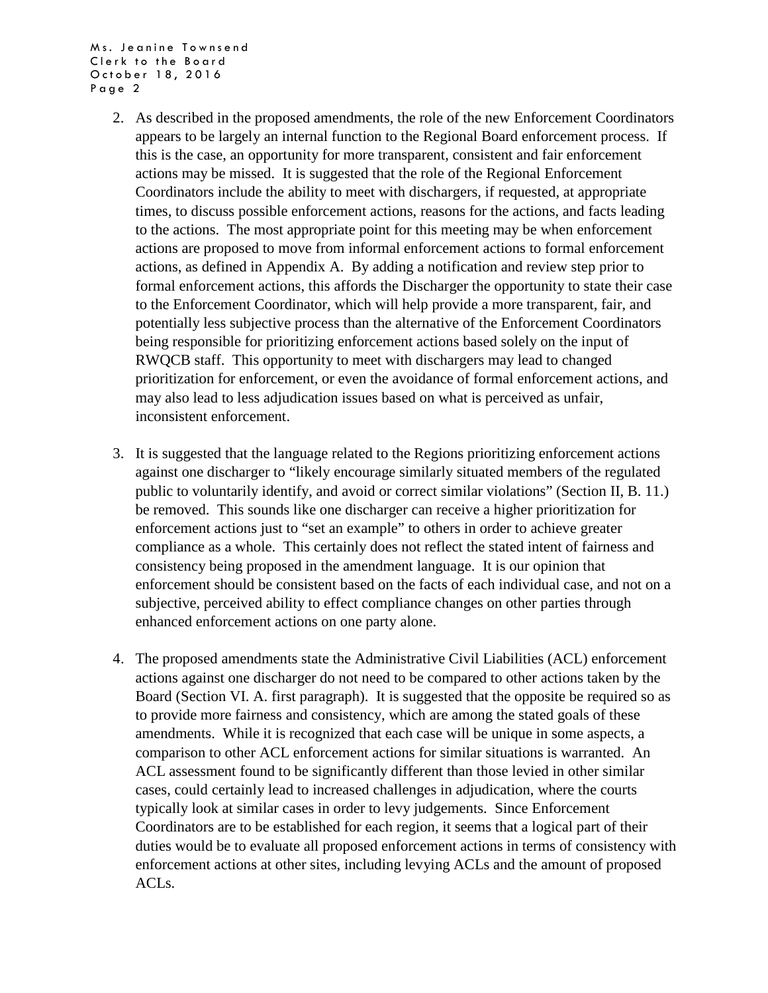Ms. Jeanine Townsend Clerk to the Board October 18, 2016 Page 2

- 2. As described in the proposed amendments, the role of the new Enforcement Coordinators appears to be largely an internal function to the Regional Board enforcement process. If this is the case, an opportunity for more transparent, consistent and fair enforcement actions may be missed. It is suggested that the role of the Regional Enforcement Coordinators include the ability to meet with dischargers, if requested, at appropriate times, to discuss possible enforcement actions, reasons for the actions, and facts leading to the actions. The most appropriate point for this meeting may be when enforcement actions are proposed to move from informal enforcement actions to formal enforcement actions, as defined in Appendix A. By adding a notification and review step prior to formal enforcement actions, this affords the Discharger the opportunity to state their case to the Enforcement Coordinator, which will help provide a more transparent, fair, and potentially less subjective process than the alternative of the Enforcement Coordinators being responsible for prioritizing enforcement actions based solely on the input of RWQCB staff. This opportunity to meet with dischargers may lead to changed prioritization for enforcement, or even the avoidance of formal enforcement actions, and may also lead to less adjudication issues based on what is perceived as unfair, inconsistent enforcement.
- 3. It is suggested that the language related to the Regions prioritizing enforcement actions against one discharger to "likely encourage similarly situated members of the regulated public to voluntarily identify, and avoid or correct similar violations" (Section II, B. 11.) be removed. This sounds like one discharger can receive a higher prioritization for enforcement actions just to "set an example" to others in order to achieve greater compliance as a whole. This certainly does not reflect the stated intent of fairness and consistency being proposed in the amendment language. It is our opinion that enforcement should be consistent based on the facts of each individual case, and not on a subjective, perceived ability to effect compliance changes on other parties through enhanced enforcement actions on one party alone.
- 4. The proposed amendments state the Administrative Civil Liabilities (ACL) enforcement actions against one discharger do not need to be compared to other actions taken by the Board (Section VI. A. first paragraph). It is suggested that the opposite be required so as to provide more fairness and consistency, which are among the stated goals of these amendments. While it is recognized that each case will be unique in some aspects, a comparison to other ACL enforcement actions for similar situations is warranted. An ACL assessment found to be significantly different than those levied in other similar cases, could certainly lead to increased challenges in adjudication, where the courts typically look at similar cases in order to levy judgements. Since Enforcement Coordinators are to be established for each region, it seems that a logical part of their duties would be to evaluate all proposed enforcement actions in terms of consistency with enforcement actions at other sites, including levying ACLs and the amount of proposed ACLs.